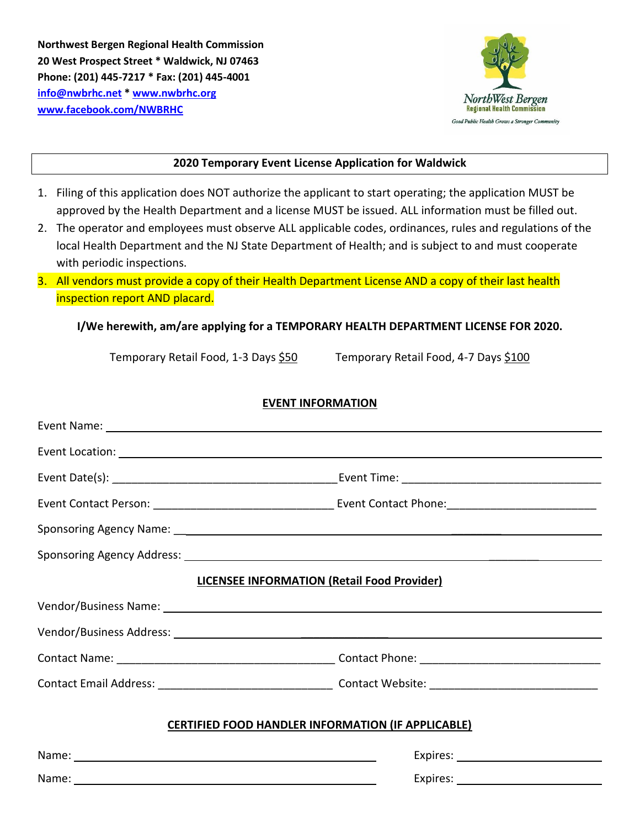**Northwest Bergen Regional Health Commission 20 West Prospect Street \* Waldwick, NJ 07463 Phone: (201) 445-7217 \* Fax: (201) 445-4001 [info@nwbrhc.net](mailto:info@nwbrhc.net) \* [www.nwbrhc.org](http://www.nwbrhc.org/) [www.facebook.com/NWBRHC](http://www.facebook.com/NWBRHC)**



# **2020 Temporary Event License Application for Waldwick**

- 1. Filing of this application does NOT authorize the applicant to start operating; the application MUST be approved by the Health Department and a license MUST be issued. ALL information must be filled out.
- 2. The operator and employees must observe ALL applicable codes, ordinances, rules and regulations of the local Health Department and the NJ State Department of Health; and is subject to and must cooperate with periodic inspections.
- 3. All vendors must provide a copy of their Health Department License AND a copy of their last health inspection report AND placard.

# **I/We herewith, am/are applying for a TEMPORARY HEALTH DEPARTMENT LICENSE FOR 2020.**

Temporary Retail Food, 1-3 Days \$50 Temporary Retail Food, 4-7 Days \$100

## **EVENT INFORMATION**

| Event Location: Later and the contract of the contract of the contract of the contract of the contract of the contract of the contract of the contract of the contract of the contract of the contract of the contract of the |  |  |  |  |
|-------------------------------------------------------------------------------------------------------------------------------------------------------------------------------------------------------------------------------|--|--|--|--|
|                                                                                                                                                                                                                               |  |  |  |  |
|                                                                                                                                                                                                                               |  |  |  |  |
|                                                                                                                                                                                                                               |  |  |  |  |
|                                                                                                                                                                                                                               |  |  |  |  |
| <b>LICENSEE INFORMATION (Retail Food Provider)</b>                                                                                                                                                                            |  |  |  |  |
|                                                                                                                                                                                                                               |  |  |  |  |
|                                                                                                                                                                                                                               |  |  |  |  |
|                                                                                                                                                                                                                               |  |  |  |  |
|                                                                                                                                                                                                                               |  |  |  |  |
| <b>CERTIFIED FOOD HANDLER INFORMATION (IF APPLICABLE)</b>                                                                                                                                                                     |  |  |  |  |
|                                                                                                                                                                                                                               |  |  |  |  |
| Name: Name:                                                                                                                                                                                                                   |  |  |  |  |
|                                                                                                                                                                                                                               |  |  |  |  |